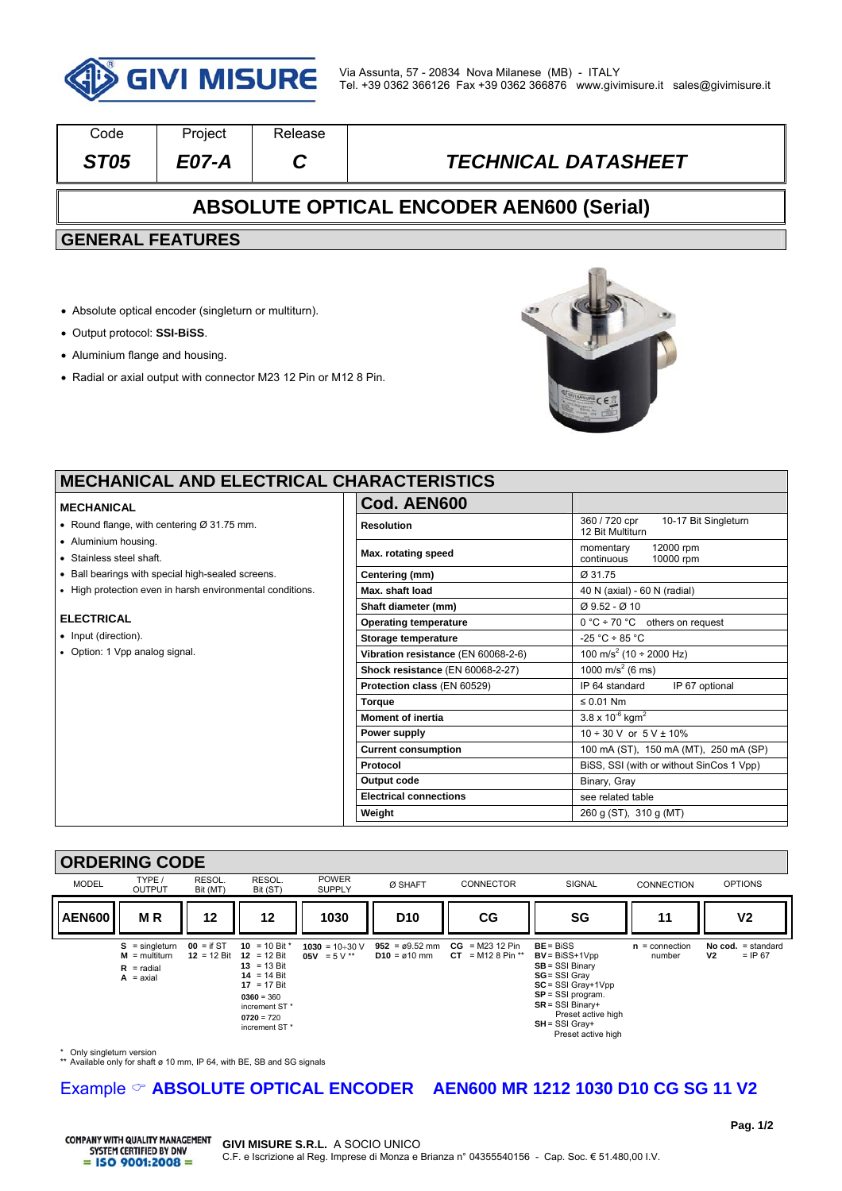

| Code                                            | Project | <b>Release</b> |                            |  |  |  |
|-------------------------------------------------|---------|----------------|----------------------------|--|--|--|
| <b>ST05</b>                                     | E07-A   |                | <b>TECHNICAL DATASHEET</b> |  |  |  |
| <b>ABSOLUTE OPTICAL ENCODER AEN600 (Serial)</b> |         |                |                            |  |  |  |
| <b>GENERAL FEATURES</b>                         |         |                |                            |  |  |  |
|                                                 |         |                |                            |  |  |  |

- Absolute optical encoder (singleturn or multiturn).
- Output protocol: **SSI-BiSS**.
- Aluminium flange and housing.
- Radial or axial output with connector M23 12 Pin or M12 8 Pin.



٦

### **MECHANICAL AND ELECTRICAL CH**

#### **MECHANICAL**

- Round flange, with centering Ø 31.75 mm.
- Aluminium housing.
- Stainless steel shaft.
- Ball bearings with special high-sealed screens.
- High protection even in harsh environmental conditions.

#### **ELECTRICAL**

- Input (direction).
- Option: 1 Vpp analog signal.

| Cod. AEN600                         |                                                           |  |  |
|-------------------------------------|-----------------------------------------------------------|--|--|
| <b>Resolution</b>                   | 360 / 720 cpr<br>10-17 Bit Singleturn<br>12 Bit Multiturn |  |  |
| Max. rotating speed                 | 12000 rpm<br>momentary<br>continuous<br>10000 rpm         |  |  |
| Centering (mm)                      | Ø 31.75                                                   |  |  |
| Max. shaft load                     | 40 N (axial) - 60 N (radial)                              |  |  |
| Shaft diameter (mm)                 | $Ø$ 9.52 - $Ø$ 10                                         |  |  |
| <b>Operating temperature</b>        | $0^{\circ}$ C ÷ 70 °C others on request                   |  |  |
| Storage temperature                 | $-25 °C \div 85 °C$                                       |  |  |
| Vibration resistance (EN 60068-2-6) | 100 m/s <sup>2</sup> (10 ÷ 2000 Hz)                       |  |  |
| Shock resistance (EN 60068-2-27)    | 1000 m/s <sup>2</sup> (6 ms)                              |  |  |
| Protection class (EN 60529)         | IP 64 standard<br>IP 67 optional                          |  |  |
| <b>Torque</b>                       | $\leq 0.01$ Nm                                            |  |  |
| <b>Moment of inertia</b>            | $3.8 \times 10^{-6}$ kgm <sup>2</sup>                     |  |  |
| Power supply                        | $10 \div 30$ V or $5$ V $\pm$ 10%                         |  |  |
| <b>Current consumption</b>          | 100 mA (ST), 150 mA (MT), 250 mA (SP)                     |  |  |
| Protocol                            | BiSS, SSI (with or without SinCos 1 Vpp)                  |  |  |
| Output code                         | Binary, Gray                                              |  |  |
| <b>Electrical connections</b>       | see related table                                         |  |  |
| Weight                              | 260 g (ST), 310 g (MT)                                    |  |  |

#### **ORDERING CODE**



\* Only singleturn version

\*\* Available only for shaft ø 10 mm, IP 64, with BE, SB and SG signals

## Example  $\circ$  **ABSOLUTE OPTICAL ENCODER** AEN600 MR 1212 1030 D10 CG SG 11 V2

**COMPANY WITH QUALITY MANAGEMENT** SYSTEM CERTIFIED BY DNV  $=$  ISO 9001:2008  $=$